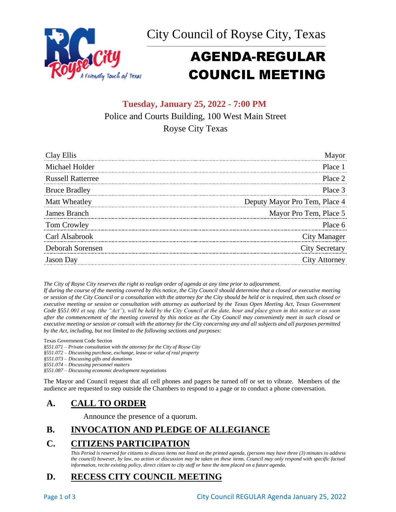



# AGENDA-REGULAR COUNCIL MEETING

# **Tuesday, January 25, 2022 - 7:00 PM** Police and Courts Building, 100 West Main Street Royse City Texas

| Clay Ellis               | Mayor                         |
|--------------------------|-------------------------------|
| Michael Holder           | Place 1                       |
| <b>Russell Ratterree</b> | Place 2                       |
| <b>Bruce Bradley</b>     | Place 3                       |
| Matt Wheatley            | Deputy Mayor Pro Tem, Place 4 |
| James Branch             | Mayor Pro Tem, Place 5        |
| Tom Crowley              | Place 6                       |
| Carl Alsabrook           | City Manager                  |
| Deborah Sorensen         | <b>City Secretary</b>         |
| <b>Jason</b> Day         | City Attorney                 |

*The City of Royse City reserves the right to realign order of agenda at any time prior to adjournment.*

*If during the course of the meeting covered by this notice, the City Council should determine that a closed or executive meeting or session of the City Council or a consultation with the attorney for the City should be held or is required, then such closed or executive meeting or session or consultation with attorney as authorized by the Texas Open Meeting Act, Texas Government Code §551.001 et seq. (the "Act"), will be held by the City Council at the date, hour and place given in this notice or as soon after the commencement of the meeting covered by this notice as the City Council may conveniently meet in such closed or executive meeting or session or consult with the attorney for the City concerning any and all subjects and all purposes permitted by the Act, including, but not limited to the following sections and purposes:*

Texas Government Code Section

*§551.071 – Private consultation with the attorney for the City of Royse City* 

*§551.072 – Discussing purchase, exchange, lease or value of real property* 

*§551.073 – Discussing gifts and donations*

*§551.074 – Discussing personnel matters*

*§551.087 – Discussing economic development negotiations*

The Mayor and Council request that all cell phones and pagers be turned off or set to vibrate. Members of the audience are requested to step outside the Chambers to respond to a page or to conduct a phone conversation.

### **A. CALL TO ORDER**

Announce the presence of a quorum.

# **B. INVOCATION AND PLEDGE OF ALLEGIANCE**

### **C. CITIZENS PARTICIPATION**

*This Period is reserved for citizens to discuss items not listed on the printed agenda, (persons may have three (3) minutes to address the council) however, by law, no action or discussion may be taken on these items. Council may only respond with specific factual information, recite existing policy, direct citizen to city staff or have the item placed on a future agenda.*

# **D. RECESS CITY COUNCIL MEETING**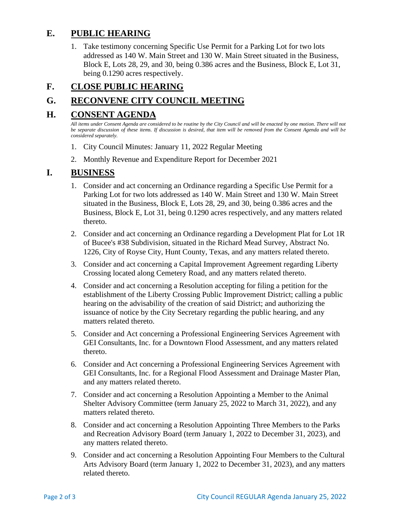### **E. PUBLIC HEARING**

1. Take testimony concerning Specific Use Permit for a Parking Lot for two lots addressed as 140 W. Main Street and 130 W. Main Street situated in the Business, Block E, Lots 28, 29, and 30, being 0.386 acres and the Business, Block E, Lot 31, being 0.1290 acres respectively.

# **F. CLOSE PUBLIC HEARING**

# **G. RECONVENE CITY COUNCIL MEETING**

#### **H. CONSENT AGENDA**

*All items under Consent Agenda are considered to be routine by the City Council and will be enacted by one motion. There will not be separate discussion of these items. If discussion is desired, that item will be removed from the Consent Agenda and will be considered separately.*

- 1. City Council Minutes: January 11, 2022 Regular Meeting
- 2. Monthly Revenue and Expenditure Report for December 2021

#### **I. BUSINESS**

- 1. Consider and act concerning an Ordinance regarding a Specific Use Permit for a Parking Lot for two lots addressed as 140 W. Main Street and 130 W. Main Street situated in the Business, Block E, Lots 28, 29, and 30, being 0.386 acres and the Business, Block E, Lot 31, being 0.1290 acres respectively, and any matters related thereto.
- 2. Consider and act concerning an Ordinance regarding a Development Plat for Lot 1R of Bucee's #38 Subdivision, situated in the Richard Mead Survey, Abstract No. 1226, City of Royse City, Hunt County, Texas, and any matters related thereto.
- 3. Consider and act concerning a Capital Improvement Agreement regarding Liberty Crossing located along Cemetery Road, and any matters related thereto.
- 4. Consider and act concerning a Resolution accepting for filing a petition for the establishment of the Liberty Crossing Public Improvement District; calling a public hearing on the advisability of the creation of said District; and authorizing the issuance of notice by the City Secretary regarding the public hearing, and any matters related thereto.
- 5. Consider and Act concerning a Professional Engineering Services Agreement with GEI Consultants, Inc. for a Downtown Flood Assessment, and any matters related thereto.
- 6. Consider and Act concerning a Professional Engineering Services Agreement with GEI Consultants, Inc. for a Regional Flood Assessment and Drainage Master Plan, and any matters related thereto.
- 7. Consider and act concerning a Resolution Appointing a Member to the Animal Shelter Advisory Committee (term January 25, 2022 to March 31, 2022), and any matters related thereto.
- 8. Consider and act concerning a Resolution Appointing Three Members to the Parks and Recreation Advisory Board (term January 1, 2022 to December 31, 2023), and any matters related thereto.
- 9. Consider and act concerning a Resolution Appointing Four Members to the Cultural Arts Advisory Board (term January 1, 2022 to December 31, 2023), and any matters related thereto.